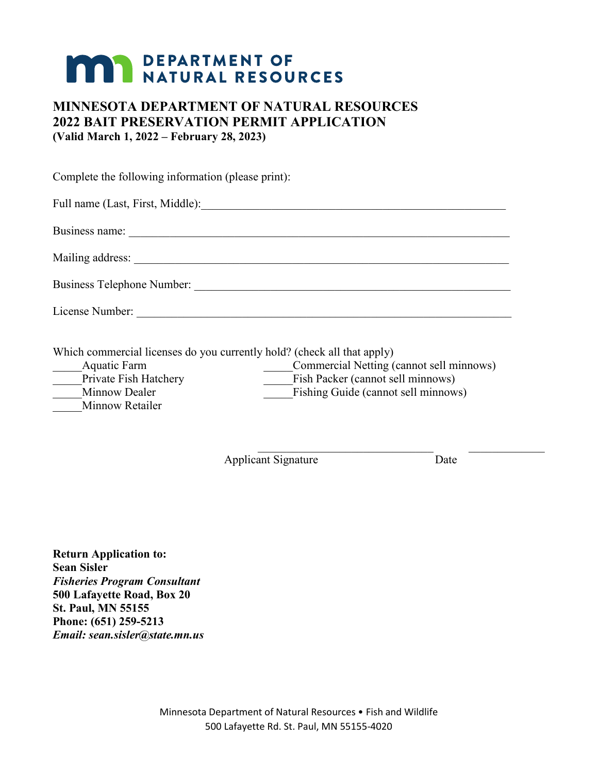# **MAR DEPARTMENT OF NATURAL RESOURCES**

### **MINNESOTA DEPARTMENT OF NATURAL RESOURCES 2022 BAIT PRESERVATION PERMIT APPLICATION (Valid March 1, 2022 – February 28, 2023)**

Complete the following information (please print):

Full name (Last, First, Middle):\_\_\_\_\_\_\_\_\_\_\_\_\_\_\_\_\_\_\_\_\_\_\_\_\_\_\_\_\_\_\_\_\_\_\_\_\_\_\_\_\_\_\_\_\_\_\_\_\_\_\_\_ Business name: Mailing address: \_\_\_\_\_\_\_\_\_\_\_\_\_\_\_\_\_\_\_\_\_\_\_\_\_\_\_\_\_\_\_\_\_\_\_\_\_\_\_\_\_\_\_\_\_\_\_\_\_\_\_\_\_\_\_\_\_\_\_\_\_\_\_\_ Business Telephone Number: \_\_\_\_\_\_\_\_\_\_\_\_\_\_\_\_\_\_\_\_\_\_\_\_\_\_\_\_\_\_\_\_\_\_\_\_\_\_\_\_\_\_\_\_\_\_\_\_\_\_\_\_\_\_ License Number: \_\_\_\_\_\_\_\_\_\_\_\_\_\_\_\_\_\_\_\_\_\_\_\_\_\_\_\_\_\_\_\_\_\_\_\_\_\_\_\_\_\_\_\_\_\_\_\_\_\_\_\_\_\_\_\_\_\_\_\_\_\_\_\_

Which commercial licenses do you currently hold? (check all that apply)

| Aquatic Farm          | Commercial Netting (cannot sell minnows) |
|-----------------------|------------------------------------------|
| Private Fish Hatchery | Fish Packer (cannot sell minnows)        |
| Minnow Dealer         | Fishing Guide (cannot sell minnows)      |
| Minnow Retailer       |                                          |

Applicant Signature Date

**Return Application to: Sean Sisler** *Fisheries Program Consultant* **500 Lafayette Road, Box 20 St. Paul, MN 55155 Phone: (651) 259-5213** *Email: sean.sisler@state.mn.us*